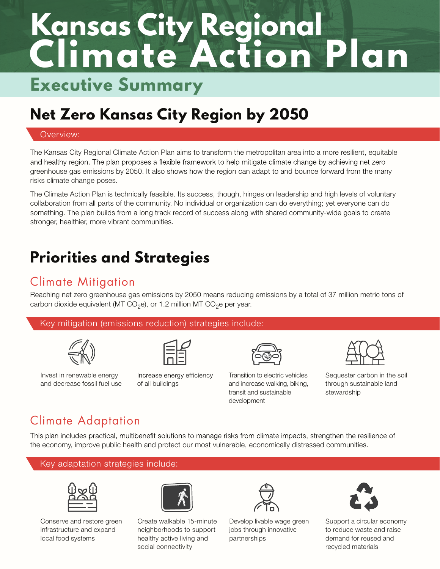# **Climate Action Plan Kansas City Regional Executive Summary**

## **Net Zero Kansas City Region by 2050**

#### Overview:

The Kansas City Regional Climate Action Plan aims to transform the metropolitan area into a more resilient, equitable and healthy region. The plan proposes a flexible framework to help mitigate climate change by achieving net zero greenhouse gas emissions by 2050. It also shows how the region can adapt to and bounce forward from the many risks climate change poses.

The Climate Action Plan is technically feasible. Its success, though, hinges on leadership and high levels of voluntary collaboration from all parts of the community. No individual or organization can do everything; yet everyone can do something. The plan builds from a long track record of success along with shared community-wide goals to create stronger, healthier, more vibrant communities.

### **Priorities and Strategies**

### Climate Mitigation

Reaching net zero greenhouse gas emissions by 2050 means reducing emissions by a total of 37 million metric tons of carbon dioxide equivalent (MT CO<sub>2</sub>e), or 1.2 million MT CO<sub>2</sub>e per year.

#### Key mitigation (emissions reduction) strategies include:



Invest in renewable energy and decrease fossil fuel use

Increase energy efficiency of all buildings



Transition to electric vehicles and increase walking, biking, transit and sustainable development

Sequester carbon in the soil through sustainable land stewardship

### Climate Adaptation

This plan includes practical, multibenefit solutions to manage risks from climate impacts, strengthen the resilience of the economy, improve public health and protect our most vulnerable, economically distressed communities.





Conserve and restore green infrastructure and expand local food systems



Create walkable 15-minute neighborhoods to support healthy active living and social connectivity



Develop livable wage green jobs through innovative partnerships



Support a circular economy to reduce waste and raise demand for reused and recycled materials